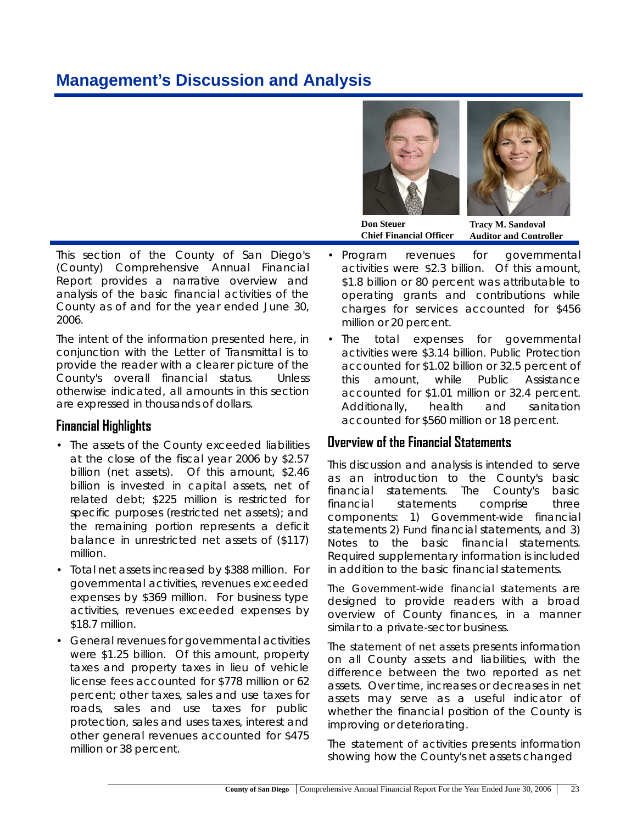# **Management's Discussion and Analysis**





**Don Steuer Chief Financial Officer**

**Tracy M. Sandoval Auditor and Controller**

This section of the County of San Diego's (County) Comprehensive Annual Financial Report provides a narrative overview and analysis of the basic financial activities of the County as of and for the year ended June 30, 2006.

The intent of the information presented here, in conjunction with the Letter of Transmittal is to provide the reader with a clearer picture of the County's overall financial status. Unless otherwise indicated, all amounts in this section are expressed in thousands of dollars.

## **Financial Highlights**

- The assets of the County exceeded liabilities at the close of the fiscal year 2006 by \$2.57 billion (net assets). Of this amount, \$2.46 billion is invested in capital assets, net of related debt; \$225 million is restricted for specific purposes (restricted net assets); and the remaining portion represents a deficit balance in unrestricted net assets of (\$117) million.
- Total net assets increased by \$388 million. For governmental activities, revenues exceeded expenses by \$369 million. For business type activities, revenues exceeded expenses by \$18.7 million.
- General revenues for governmental activities were \$1.25 billion. Of this amount, property taxes and property taxes in lieu of vehicle license fees accounted for \$778 million or 62 percent; other taxes, sales and use taxes for roads, sales and use taxes for public protection, sales and uses taxes, interest and other general revenues accounted for \$475 million or 38 percent.
- Program revenues for governmental activities were \$2.3 billion. Of this amount, \$1.8 billion or 80 percent was attributable to operating grants and contributions while charges for services accounted for \$456 million or 20 percent.
- The total expenses for governmental activities were \$3.14 billion. Public Protection accounted for \$1.02 billion or 32.5 percent of this amount, while Public Assistance accounted for \$1.01 million or 32.4 percent. Additionally, health and sanitation accounted for \$560 million or 18 percent.

# **Overview of the Financial Statements**

This discussion and analysis is intended to serve as an introduction to the County's basic financial statements. The County's basic financial statements comprise three components: 1) *Government-wide* financial statements 2) *Fund* financial statements, and 3) *Notes* to the basic financial statements. Required supplementary information is included in addition to the basic financial statements.

*The Government-wide financial statements* are designed to provide readers with a broad overview of County finances, in a manner similar to a private-sector business.

The *statement of net assets* presents information on all County assets and liabilities, with the difference between the two reported as net assets. Over time, increases or decreases in net assets may serve as a useful indicator of whether the financial position of the County is improving or deteriorating.

The *statement of activities* presents information showing how the County's net assets changed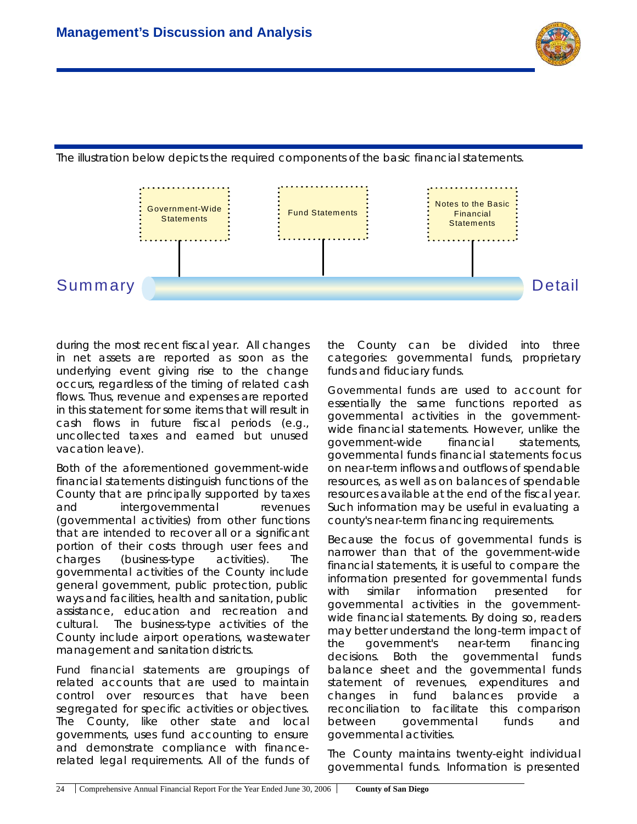



The illustration below depicts the required components of the basic financial statements.

during the most recent fiscal year. All changes in net assets are reported as soon as the underlying event giving rise to the change occurs, regardless of the timing of related cash flows. Thus, revenue and expenses are reported in this statement for some items that will result in cash flows in future fiscal periods (e.g., uncollected taxes and earned but unused vacation leave).

Both of the aforementioned government-wide financial statements distinguish functions of the County that are principally supported by taxes and intergovernmental revenues (governmental activities) from other functions that are intended to recover all or a significant portion of their costs through user fees and charges (business-type activities). The governmental activities of the County include general government, public protection, public ways and facilities, health and sanitation, public assistance, education and recreation and cultural. The business-type activities of the County include airport operations, wastewater management and sanitation districts.

*Fund financial statements* are groupings of related accounts that are used to maintain control over resources that have been segregated for specific activities or objectives. The County, like other state and local governments, uses fund accounting to ensure and demonstrate compliance with financerelated legal requirements. All of the funds of the County can be divided into three categories: governmental funds, proprietary funds and fiduciary funds.

*Governmental funds* are used to account for essentially the same functions reported as governmental activities in the governmentwide financial statements. However, unlike the government-wide financial statements, governmental funds financial statements focus on near-term inflows and outflows of spendable resources, as well as on balances of spendable resources available at the end of the fiscal year. Such information may be useful in evaluating a county's near-term financing requirements.

Because the focus of governmental funds is narrower than that of the government-wide financial statements, it is useful to compare the information presented for governmental funds with similar information presented for governmental activities in the governmentwide financial statements. By doing so, readers may better understand the long-term impact of the government's near-term financing decisions. Both the governmental funds balance sheet and the governmental funds statement of revenues, expenditures and changes in fund balances provide a reconciliation to facilitate this comparison between governmental funds and governmental activities.

The County maintains twenty-eight individual governmental funds. Information is presented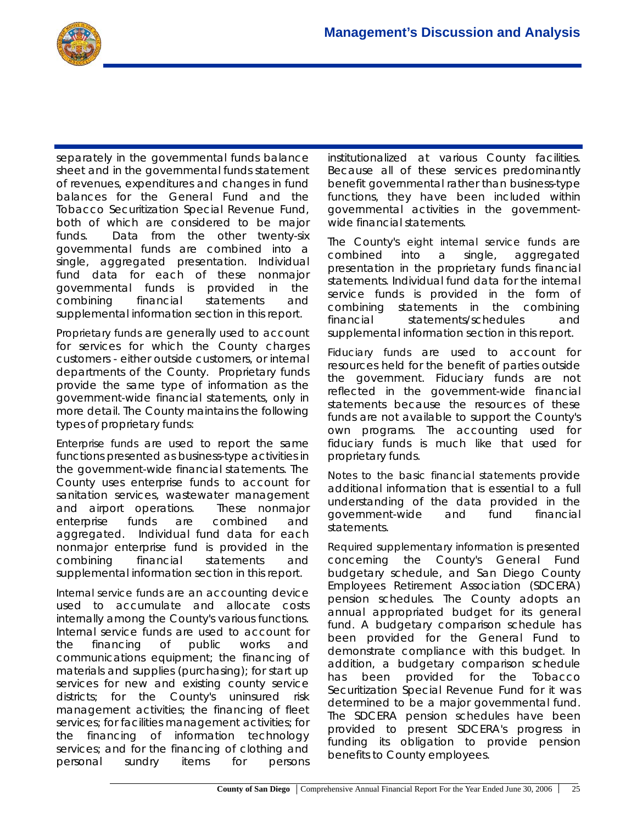separately in the governmental funds balance sheet and in the governmental funds statement of revenues, expenditures and changes in fund balances for the General Fund and the Tobacco Securitization Special Revenue Fund, both of which are considered to be major funds. Data from the other twenty-six governmental funds are combined into a single, aggregated presentation. Individual fund data for each of these nonmajor governmental funds is provided in the combining financial statements and supplemental information section in this report.

*Proprietary funds* are generally used to account for services for which the County charges customers - either outside customers, or internal departments of the County. Proprietary funds provide the same type of information as the government-wide financial statements, only in more detail. The County maintains the following types of proprietary funds:

*Enterprise funds* are used to report the same functions presented as business-type activities in the government-wide financial statements. The County uses enterprise funds to account for sanitation services, wastewater management and airport operations. These nonmajor enterprise funds are combined and aggregated. Individual fund data for each nonmajor enterprise fund is provided in the combining financial statements and supplemental information section in this report.

*Internal service funds* are an accounting device used to accumulate and allocate costs internally among the County's various functions. Internal service funds are used to account for the financing of public works and communications equipment; the financing of materials and supplies (purchasing); for start up services for new and existing county service districts; for the County's uninsured risk management activities; the financing of fleet services; for facilities management activities; for the financing of information technology services; and for the financing of clothing and personal sundry items for persons

institutionalized at various County facilities. Because all of these services predominantly benefit governmental rather than business-type functions, they have been included within governmental activities in the governmentwide financial statements.

The County's *eight internal service funds* are combined into a single, aggregated presentation in the proprietary funds financial statements. Individual fund data for the internal service funds is provided in the form of combining statements in the combining financial statements/schedules and supplemental information section in this report.

*Fiduciary funds* are used to account for resources held for the benefit of parties outside the government. Fiduciary funds are not reflected in the government-wide financial statements because the resources of these funds are not available to support the County's own programs. The accounting used for fiduciary funds is much like that used for proprietary funds.

*Notes to the basic financial statements* provide additional information that is essential to a full understanding of the data provided in the government-wide and fund financial statements.

*Required supplementary information* is presented concerning the County's General Fund budgetary schedule, and San Diego County Employees Retirement Association (SDCERA) pension schedules. The County adopts an annual appropriated budget for its general fund. A budgetary comparison schedule has been provided for the General Fund to demonstrate compliance with this budget. In addition, a budgetary comparison schedule has been provided for the Tobacco Securitization Special Revenue Fund for it was determined to be a major governmental fund. The SDCERA pension schedules have been provided to present SDCERA's progress in funding its obligation to provide pension benefits to County employees.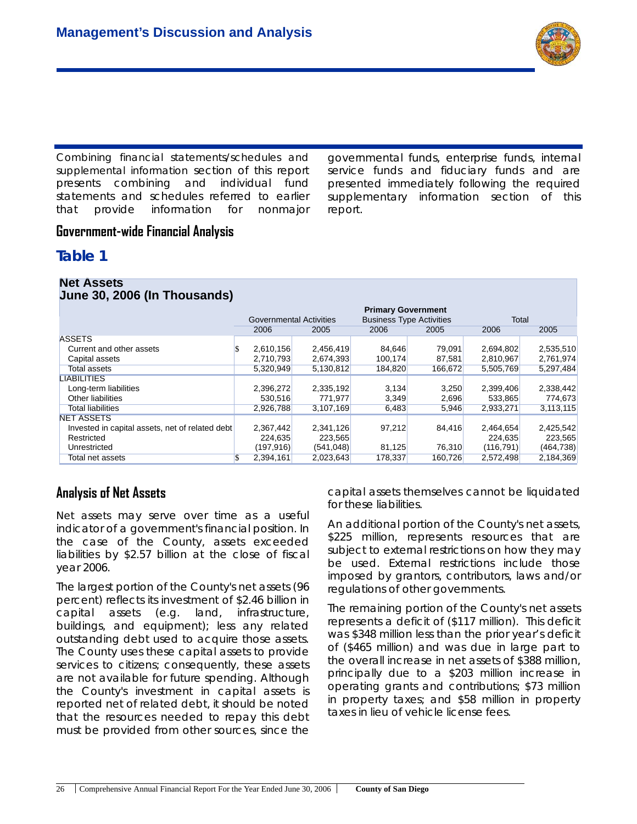

*Combining financial statements/schedules and supplemental information* section of this report presents combining and individual fund statements and schedules referred to earlier that provide information for nonmajor governmental funds, enterprise funds, internal service funds and fiduciary funds and are presented immediately following the required supplementary information section of this report.

## **Government-wide Financial Analysis**

## **Table 1**

| <b>Net Assets</b><br>June 30, 2006 (In Thousands) |                           |            |                                 |         |            |            |  |  |
|---------------------------------------------------|---------------------------|------------|---------------------------------|---------|------------|------------|--|--|
|                                                   | <b>Primary Government</b> |            |                                 |         |            |            |  |  |
|                                                   | Governmental Activities   |            | <b>Business Type Activities</b> |         | Total      |            |  |  |
|                                                   | 2006                      | 2005       | 2006                            | 2005    | 2006       | 2005       |  |  |
| <b>ASSETS</b>                                     |                           |            |                                 |         |            |            |  |  |
| Current and other assets                          | 2,610,156                 | 2,456,419  | 84,646                          | 79,091  | 2,694,802  | 2,535,510  |  |  |
| Capital assets                                    | 2,710,793                 | 2,674,393  | 100,174                         | 87,581  | 2,810,967  | 2,761,974  |  |  |
| Total assets                                      | 5,320,949                 | 5,130,812  | 184,820                         | 166,672 | 5,505,769  | 5,297,484  |  |  |
| <b>LIABILITIES</b>                                |                           |            |                                 |         |            |            |  |  |
| Long-term liabilities                             | 2,396,272                 | 2,335,192  | 3,134                           | 3,250   | 2,399,406  | 2,338,442  |  |  |
| Other liabilities                                 | 530,516                   | 771,977    | 3,349                           | 2,696   | 533,865    | 774,673    |  |  |
| <b>Total liabilities</b>                          | 2,926,788                 | 3,107,169  | 6,483                           | 5,946   | 2,933,271  | 3,113,115  |  |  |
| <b>NET ASSETS</b>                                 |                           |            |                                 |         |            |            |  |  |
| Invested in capital assets, net of related debt   | 2,367,442                 | 2,341,126  | 97,212                          | 84,416  | 2,464,654  | 2,425,542  |  |  |
| Restricted                                        | 224,635                   | 223,565    |                                 |         | 224,635    | 223,565    |  |  |
| Unrestricted                                      | (197, 916)                | (541, 048) | 81,125                          | 76,310  | (116, 791) | (464, 738) |  |  |
| Total net assets                                  | 2,394,161                 | 2,023,643  | 178,337                         | 160,726 | 2,572,498  | 2,184,369  |  |  |

## **Analysis of Net Assets**

*Net assets* may serve over time as a useful indicator of a government's financial position. In the case of the County, assets exceeded liabilities by \$2.57 billion at the close of fiscal year 2006.

The largest portion of the County's net assets (96 percent) reflects its investment of \$2.46 billion in capital assets (e.g. land, infrastructure, buildings, and equipment); less any related outstanding debt used to acquire those assets. The County uses these capital assets to provide services to citizens; consequently, these assets are not available for future spending. Although the County's investment in capital assets is reported net of related debt, it should be noted that the resources needed to repay this debt must be provided from other sources, since the

capital assets themselves cannot be liquidated for these liabilities.

An additional portion of the County's net assets, \$225 million, represents resources that are subject to external restrictions on how they may be used. External restrictions include those imposed by grantors, contributors, laws and/or regulations of other governments.

The remaining portion of the County's net assets represents a deficit of (\$117 million). This deficit was \$348 million less than the prior year's deficit of (\$465 million) and was due in large part to the overall increase in net assets of \$388 million, principally due to a \$203 million increase in operating grants and contributions; \$73 million in property taxes; and \$58 million in property taxes in lieu of vehicle license fees.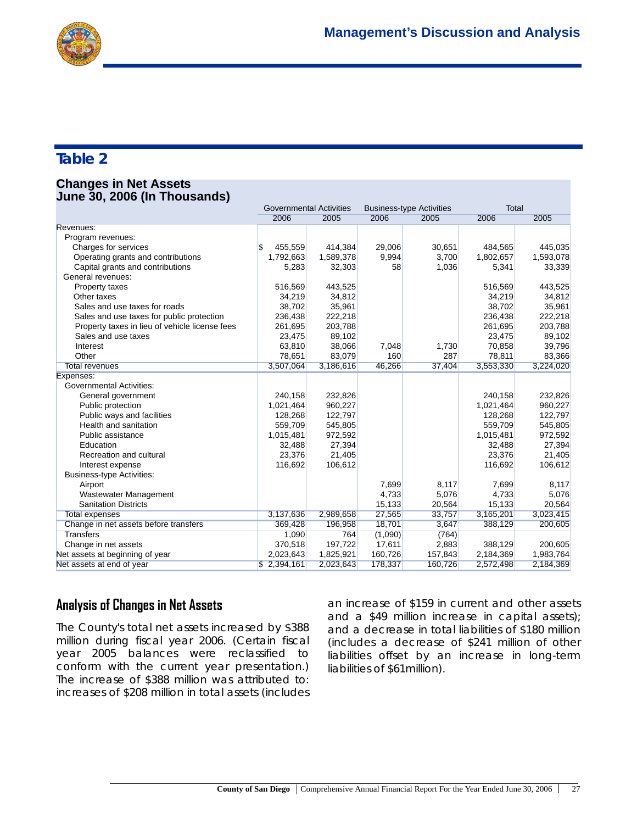

# **Table 2**

#### **Changes in Net Assets June 30, 2006 (In Thousands)**

|                                                | <b>Governmental Activities</b> |           | <b>Business-type Activities</b> |         | Total     |           |
|------------------------------------------------|--------------------------------|-----------|---------------------------------|---------|-----------|-----------|
|                                                | 2006                           | 2005      | 2006                            | 2005    | 2006      | 2005      |
| Revenues:                                      |                                |           |                                 |         |           |           |
| Program revenues:                              |                                |           |                                 |         |           |           |
| Charges for services                           | 455,559                        | 414,384   | 29,006                          | 30,651  | 484,565   | 445,035   |
| Operating grants and contributions             | 1,792,663                      | 1,589,378 | 9,994                           | 3,700   | 1,802,657 | 1,593,078 |
| Capital grants and contributions               | 5,283                          | 32,303    | 58                              | 1,036   | 5,341     | 33,339    |
| General revenues:                              |                                |           |                                 |         |           |           |
| Property taxes                                 | 516,569                        | 443,525   |                                 |         | 516,569   | 443,525   |
| Other taxes                                    | 34,219                         | 34,812    |                                 |         | 34,219    | 34,812    |
| Sales and use taxes for roads                  | 38,702                         | 35,961    |                                 |         | 38,702    | 35,961    |
| Sales and use taxes for public protection      | 236,438                        | 222,218   |                                 |         | 236,438   | 222,218   |
| Property taxes in lieu of vehicle license fees | 261,695                        | 203,788   |                                 |         | 261,695   | 203,788   |
| Sales and use taxes                            | 23,475                         | 89,102    |                                 |         | 23,475    | 89,102    |
| Interest                                       | 63,810                         | 38,066    | 7,048                           | 1,730   | 70,858    | 39,796    |
| Other                                          | 78,651                         | 83,079    | 160                             | 287     | 78,811    | 83,366    |
| <b>Total revenues</b>                          | 3,507,064                      | 3,186,616 | 46,266                          | 37,404  | 3,553,330 | 3,224,020 |
| Expenses:                                      |                                |           |                                 |         |           |           |
| <b>Governmental Activities:</b>                |                                |           |                                 |         |           |           |
| General government                             | 240,158                        | 232,826   |                                 |         | 240,158   | 232,826   |
| Public protection                              | 1,021,464                      | 960,227   |                                 |         | 1,021,464 | 960,227   |
| Public ways and facilities                     | 128,268                        | 122,797   |                                 |         | 128,268   | 122,797   |
| Health and sanitation                          | 559,709                        | 545,805   |                                 |         | 559,709   | 545,805   |
| Public assistance                              | 1,015,481                      | 972,592   |                                 |         | 1,015,481 | 972,592   |
| Education                                      | 32,488                         | 27,394    |                                 |         | 32,488    | 27,394    |
| Recreation and cultural                        | 23,376                         | 21,405    |                                 |         | 23,376    | 21,405    |
| Interest expense                               | 116,692                        | 106,612   |                                 |         | 116,692   | 106,612   |
| <b>Business-type Activities:</b>               |                                |           |                                 |         |           |           |
| Airport                                        |                                |           | 7,699                           | 8,117   | 7,699     | 8,117     |
| Wastewater Management                          |                                |           | 4,733                           | 5,076   | 4,733     | 5,076     |
| <b>Sanitation Districts</b>                    |                                |           | 15,133                          | 20,564  | 15,133    | 20,564    |
| <b>Total expenses</b>                          | 3,137,636                      | 2,989,658 | 27,565                          | 33,757  | 3,165,201 | 3,023,415 |
| Change in net assets before transfers          | 369,428                        | 196,958   | 18,701                          | 3,647   | 388,129   | 200,605   |
| <b>Transfers</b>                               | 1,090                          | 764       | (1,090)                         | (764)   |           |           |
| Change in net assets                           | 370,518                        | 197,722   | 17,611                          | 2,883   | 388,129   | 200,605   |
| Net assets at beginning of year                | 2,023,643                      | 1,825,921 | 160,726                         | 157,843 | 2,184,369 | 1,983,764 |
| Net assets at end of year                      | \$2,394,161                    | 2,023,643 | 178,337                         | 160,726 | 2,572,498 | 2,184,369 |

# **Analysis of Changes in Net Assets**

The County's total net assets increased by \$388 million during fiscal year 2006. (Certain fiscal year 2005 balances were reclassified to conform with the current year presentation.) The increase of \$388 million was attributed to: increases of \$208 million in total assets (includes

an increase of \$159 in current and other assets and a \$49 million increase in capital assets); and a decrease in total liabilities of \$180 million (includes a decrease of \$241 million of other liabilities offset by an increase in long-term liabilities of \$61million).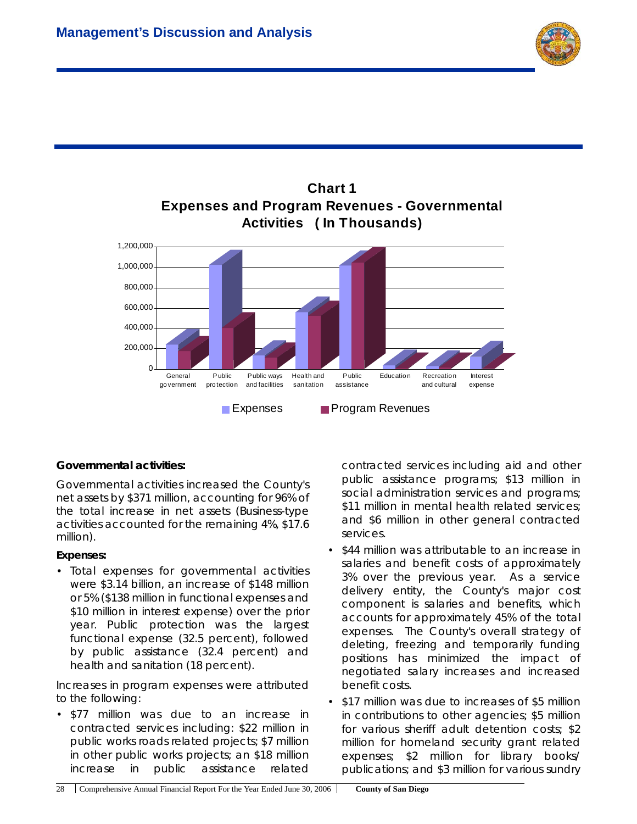



# **Chart 1**

#### **Governmental activities:**

Governmental activities increased the County's net assets by \$371 million, accounting for 96% of the total increase in net assets (Business-type activities accounted for the remaining 4%, \$17.6 million).

#### *Expenses:*

• Total expenses for governmental activities were \$3.14 billion, an increase of \$148 million or 5% (\$138 million in functional expenses and \$10 million in interest expense) over the prior year. Public protection was the largest functional expense (32.5 percent), followed by public assistance (32.4 percent) and health and sanitation (18 percent).

Increases in program expenses were attributed to the following:

• \$77 million was due to an increase in contracted services including: \$22 million in public works roads related projects; \$7 million in other public works projects; an \$18 million increase in public assistance related

contracted services including aid and other public assistance programs; \$13 million in social administration services and programs; \$11 million in mental health related services; and \$6 million in other general contracted services.

- \$44 million was attributable to an increase in salaries and benefit costs of approximately 3% over the previous year. As a service delivery entity, the County's major cost component is salaries and benefits, which accounts for approximately 45% of the total expenses. The County's overall strategy of deleting, freezing and temporarily funding positions has minimized the impact of negotiated salary increases and increased benefit costs.
- \$17 million was due to increases of \$5 million in contributions to other agencies; \$5 million for various sheriff adult detention costs; \$2 million for homeland security grant related expenses; \$2 million for library books/ publications; and \$3 million for various sundry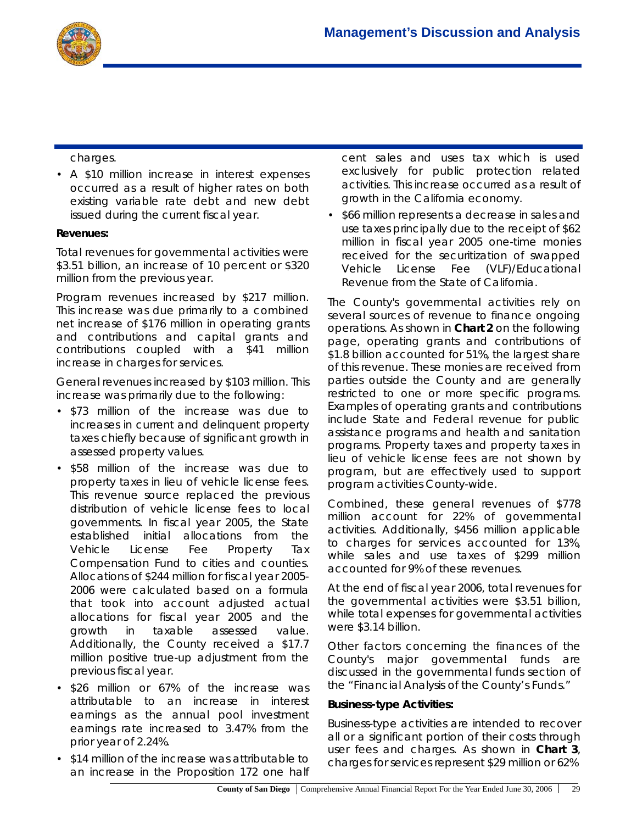

charges.

• A \$10 million increase in interest expenses occurred as a result of higher rates on both existing variable rate debt and new debt issued during the current fiscal year.

#### *Revenues:*

Total revenues for governmental activities were \$3.51 billion, an increase of 10 percent or \$320 million from the previous year.

Program revenues increased by \$217 million. This increase was due primarily to a combined net increase of \$176 million in operating grants and contributions and capital grants and contributions coupled with a \$41 million increase in charges for services.

General revenues increased by \$103 million. This increase was primarily due to the following:

- \$73 million of the increase was due to increases in current and delinquent property taxes chiefly because of significant growth in assessed property values.
- \$58 million of the increase was due to property taxes in lieu of vehicle license fees. This revenue source replaced the previous distribution of vehicle license fees to local governments. In fiscal year 2005, the State established initial allocations from the Vehicle License Fee Property Tax Compensation Fund to cities and counties. Allocations of \$244 million for fiscal year 2005- 2006 were calculated based on a formula that took into account adjusted actual allocations for fiscal year 2005 and the growth in taxable assessed value. Additionally, the County received a \$17.7 million positive true-up adjustment from the previous fiscal year.
- \$26 million or 67% of the increase was attributable to an increase in interest earnings as the annual pool investment earnings rate increased to 3.47% from the prior year of 2.24%.
- \$14 million of the increase was attributable to an increase in the Proposition 172 one half

cent sales and uses tax which is used exclusively for public protection related activities. This increase occurred as a result of growth in the California economy.

• \$66 million represents a decrease in sales and use taxes principally due to the receipt of \$62 million in fiscal year 2005 one-time monies received for the securitization of swapped Vehicle License Fee (VLF)/Educational Revenue from the State of California.

The County's governmental activities rely on several sources of revenue to finance ongoing operations. As shown in **Chart 2** on the following page, operating grants and contributions of \$1.8 billion accounted for 51%, the largest share of this revenue. These monies are received from parties outside the County and are generally restricted to one or more specific programs. Examples of operating grants and contributions include State and Federal revenue for public assistance programs and health and sanitation programs. Property taxes and property taxes in lieu of vehicle license fees are not shown by program, but are effectively used to support program activities County-wide.

Combined, these general revenues of \$778 million account for 22% of governmental activities. Additionally, \$456 million applicable to charges for services accounted for 13%, while sales and use taxes of \$299 million accounted for 9% of these revenues.

At the end of fiscal year 2006, total revenues for the governmental activities were \$3.51 billion, while total expenses for governmental activities were \$3.14 billion.

Other factors concerning the finances of the County's major governmental funds are discussed in the governmental funds section of the "Financial Analysis of the County's Funds."

#### **Business-type Activities:**

Business-type activities are intended to recover all or a significant portion of their costs through user fees and charges. As shown in **Chart 3**, charges for services represent \$29 million or 62%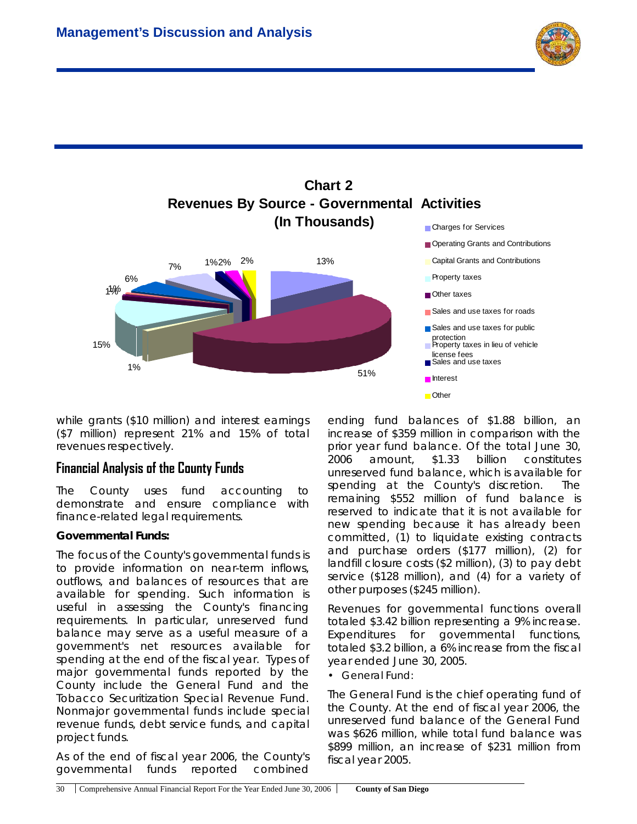



while grants (\$10 million) and interest earnings (\$7 million) represent 21% and 15% of total revenues respectively.

## **Financial Analysis of the County Funds**

The County uses fund accounting to demonstrate and ensure compliance with finance-related legal requirements.

#### **Governmental Funds:**

The focus of the County's governmental funds is to provide information on near-term inflows, outflows, and balances of resources that are available for spending. Such information is useful in assessing the County's financing requirements. In particular, unreserved fund balance may serve as a useful measure of a government's net resources available for spending at the end of the fiscal year. Types of major governmental funds reported by the County include the General Fund and the Tobacco Securitization Special Revenue Fund. Nonmajor governmental funds include special revenue funds, debt service funds, and capital project funds.

As of the end of fiscal year 2006, the County's governmental funds reported combined

ending fund balances of \$1.88 billion, an increase of \$359 million in comparison with the prior year fund balance. Of the total June 30, 2006 amount, \$1.33 billion constitutes unreserved fund balance, which is available for spending at the County's discretion. The remaining \$552 million of fund balance is reserved to indicate that it is not available for new spending because it has already been committed, (1) to liquidate existing contracts and purchase orders (\$177 million), (2) for landfill closure costs (\$2 million), (3) to pay debt service (\$128 million), and (4) for a variety of other purposes (\$245 million).

Revenues for governmental functions overall totaled \$3.42 billion representing a 9% increase. Expenditures for governmental functions, totaled \$3.2 billion, a 6% increase from the fiscal year ended June 30, 2005.

*• General Fund:*

The General Fund is the chief operating fund of the County. At the end of fiscal year 2006, the unreserved fund balance of the General Fund was \$626 million, while total fund balance was \$899 million, an increase of \$231 million from fiscal year 2005.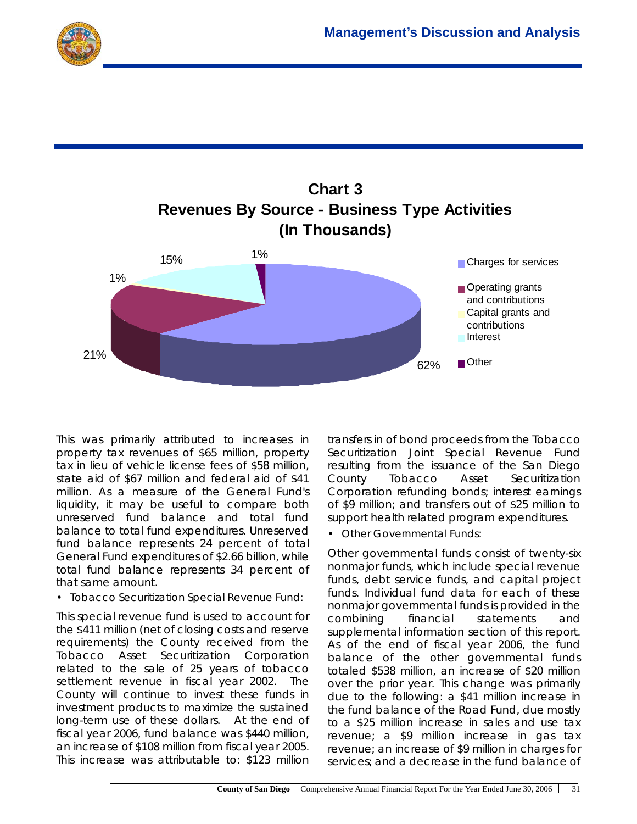



This was primarily attributed to increases in property tax revenues of \$65 million, property tax in lieu of vehicle license fees of \$58 million, state aid of \$67 million and federal aid of \$41 million. As a measure of the General Fund's liquidity, it may be useful to compare both unreserved fund balance and total fund balance to total fund expenditures. Unreserved fund balance represents 24 percent of total General Fund expenditures of \$2.66 billion, while total fund balance represents 34 percent of that same amount.

#### *• Tobacco Securitization Special Revenue Fund:*

This special revenue fund is used to account for the \$411 million (net of closing costs and reserve requirements) the County received from the Tobacco Asset Securitization Corporation related to the sale of 25 years of tobacco settlement revenue in fiscal year 2002. The County will continue to invest these funds in investment products to maximize the sustained long-term use of these dollars. At the end of fiscal year 2006, fund balance was \$440 million, an increase of \$108 million from fiscal year 2005. This increase was attributable to: \$123 million

transfers in of bond proceeds from the Tobacco Securitization Joint Special Revenue Fund resulting from the issuance of the San Diego County Tobacco Asset Securitization Corporation refunding bonds; interest earnings of \$9 million; and transfers out of \$25 million to support health related program expenditures.

• *Other Governmental Funds*:

Other governmental funds consist of twenty-six nonmajor funds, which include special revenue funds, debt service funds, and capital project funds. Individual fund data for each of these nonmajor governmental funds is provided in the combining financial statements and supplemental information section of this report. As of the end of fiscal year 2006, the fund balance of the other governmental funds totaled \$538 million, an increase of \$20 million over the prior year. This change was primarily due to the following: a \$41 million increase in the fund balance of the Road Fund, due mostly to a \$25 million increase in sales and use tax revenue; a \$9 million increase in gas tax revenue; an increase of \$9 million in charges for services; and a decrease in the fund balance of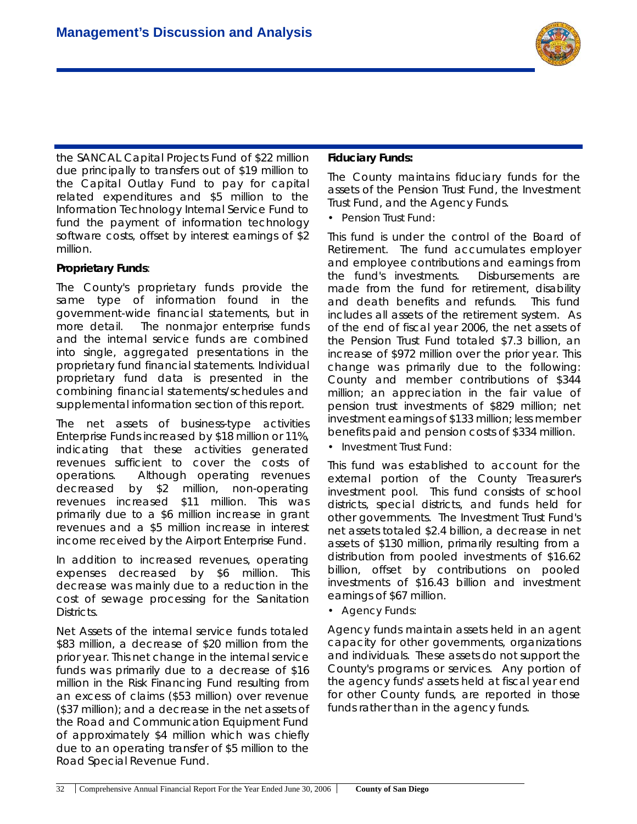

the SANCAL Capital Projects Fund of \$22 million due principally to transfers out of \$19 million to the Capital Outlay Fund to pay for capital related expenditures and \$5 million to the Information Technology Internal Service Fund to fund the payment of information technology software costs, offset by interest earnings of \$2 million.

#### **Proprietary Funds**:

The County's proprietary funds provide the same type of information found in the government-wide financial statements, but in more detail. The nonmajor enterprise funds and the internal service funds are combined into single, aggregated presentations in the proprietary fund financial statements. Individual proprietary fund data is presented in the combining financial statements/schedules and supplemental information section of this report.

The net assets of business-type activities Enterprise Funds increased by \$18 million or 11%, indicating that these activities generated revenues sufficient to cover the costs of operations. Although operating revenues decreased by \$2 million, non-operating revenues increased \$11 million. This was primarily due to a \$6 million increase in grant revenues and a \$5 million increase in interest income received by the Airport Enterprise Fund.

In addition to increased revenues, operating expenses decreased by \$6 million. This decrease was mainly due to a reduction in the cost of sewage processing for the Sanitation Districts.

Net Assets of the internal service funds totaled \$83 million, a decrease of \$20 million from the prior year. This net change in the internal service funds was primarily due to a decrease of \$16 million in the Risk Financing Fund resulting from an excess of claims (\$53 million) over revenue (\$37 million); and a decrease in the net assets of the Road and Communication Equipment Fund of approximately \$4 million which was chiefly due to an operating transfer of \$5 million to the Road Special Revenue Fund.

#### **Fiduciary Funds:**

The County maintains fiduciary funds for the assets of the Pension Trust Fund, the Investment Trust Fund, and the Agency Funds.

*• Pension Trust Fund:*

This fund is under the control of the Board of Retirement. The fund accumulates employer and employee contributions and earnings from the fund's investments. Disbursements are made from the fund for retirement, disability and death benefits and refunds. This fund includes all assets of the retirement system. As of the end of fiscal year 2006, the net assets of the Pension Trust Fund totaled \$7.3 billion, an increase of \$972 million over the prior year. This change was primarily due to the following: County and member contributions of \$344 million; an appreciation in the fair value of pension trust investments of \$829 million; net investment earnings of \$133 million; less member benefits paid and pension costs of \$334 million.

*• Investment Trust Fund:*

This fund was established to account for the external portion of the County Treasurer's investment pool. This fund consists of school districts, special districts, and funds held for other governments. The Investment Trust Fund's net assets totaled \$2.4 billion, a decrease in net assets of \$130 million, primarily resulting from a distribution from pooled investments of \$16.62 billion, offset by contributions on pooled investments of \$16.43 billion and investment earnings of \$67 million.

*• Agency Funds:*

Agency funds maintain assets held in an agent capacity for other governments, organizations and individuals. These assets do not support the County's programs or services. Any portion of the agency funds' assets held at fiscal year end for other County funds, are reported in those funds rather than in the agency funds.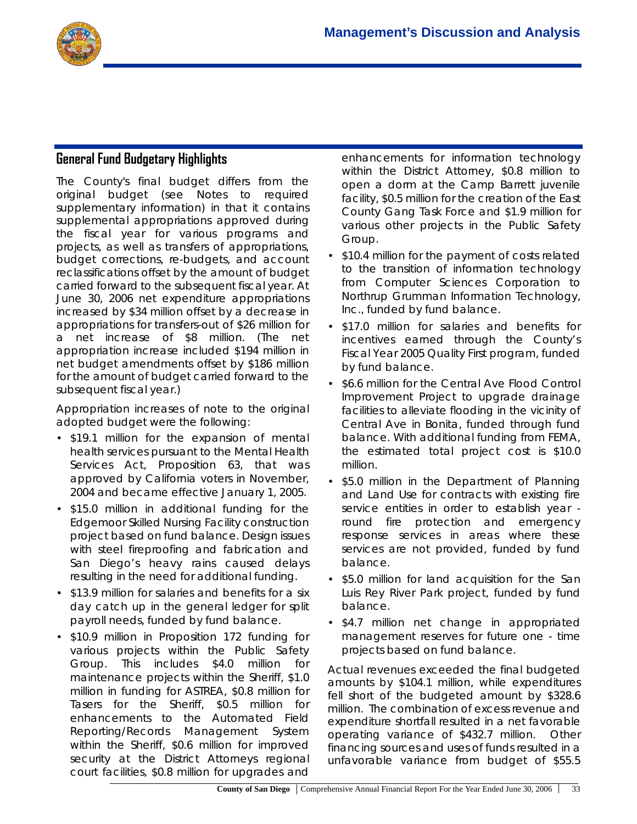

# **General Fund Budgetary Highlights**

The County's final budget differs from the original budget (see Notes to required supplementary information) in that it contains supplemental appropriations approved during the fiscal year for various programs and projects, as well as transfers of appropriations, budget corrections, re-budgets, and account reclassifications offset by the amount of budget carried forward to the subsequent fiscal year. At June 30, 2006 net expenditure appropriations increased by \$34 million offset by a decrease in appropriations for transfers-out of \$26 million for a net increase of \$8 million. (The net appropriation increase included \$194 million in net budget amendments offset by \$186 million for the amount of budget carried forward to the subsequent fiscal year.)

Appropriation increases of note to the original adopted budget were the following:

- \$19.1 million for the expansion of mental health services pursuant to the Mental Health Services Act, Proposition 63, that was approved by California voters in November, 2004 and became effective January 1, 2005.
- \$15.0 million in additional funding for the Edgemoor Skilled Nursing Facility construction project based on fund balance. Design issues with steel fireproofing and fabrication and San Diego's heavy rains caused delays resulting in the need for additional funding.
- \$13.9 million for salaries and benefits for a six day catch up in the general ledger for split payroll needs, funded by fund balance.
- \$10.9 million in Proposition 172 funding for various projects within the Public Safety Group. This includes \$4.0 million for maintenance projects within the Sheriff, \$1.0 million in funding for ASTREA, \$0.8 million for Tasers for the Sheriff, \$0.5 million for enhancements to the Automated Field Reporting/Records Management System within the Sheriff, \$0.6 million for improved security at the District Attorneys regional court facilities, \$0.8 million for upgrades and

enhancements for information technology within the District Attorney, \$0.8 million to open a dorm at the Camp Barrett juvenile facility, \$0.5 million for the creation of the East County Gang Task Force and \$1.9 million for various other projects in the Public Safety Group.

- \$10.4 million for the payment of costs related to the transition of information technology from Computer Sciences Corporation to Northrup Grumman Information Technology, Inc., funded by fund balance.
- \$17.0 million for salaries and benefits for incentives earned through the County's Fiscal Year 2005 Quality First program, funded by fund balance.
- \$6.6 million for the Central Ave Flood Control Improvement Project to upgrade drainage facilities to alleviate flooding in the vicinity of Central Ave in Bonita, funded through fund balance. With additional funding from FEMA, the estimated total project cost is \$10.0 million.
- \$5.0 million in the Department of Planning and Land Use for contracts with existing fire service entities in order to establish year round fire protection and emergency response services in areas where these services are not provided, funded by fund balance.
- \$5.0 million for land acquisition for the San Luis Rey River Park project, funded by fund balance.
- \$4.7 million net change in appropriated management reserves for future one - time projects based on fund balance.

Actual revenues exceeded the final budgeted amounts by \$104.1 million, while expenditures fell short of the budgeted amount by \$328.6 million. The combination of excess revenue and expenditure shortfall resulted in a net favorable operating variance of \$432.7 million. Other financing sources and uses of funds resulted in a unfavorable variance from budget of \$55.5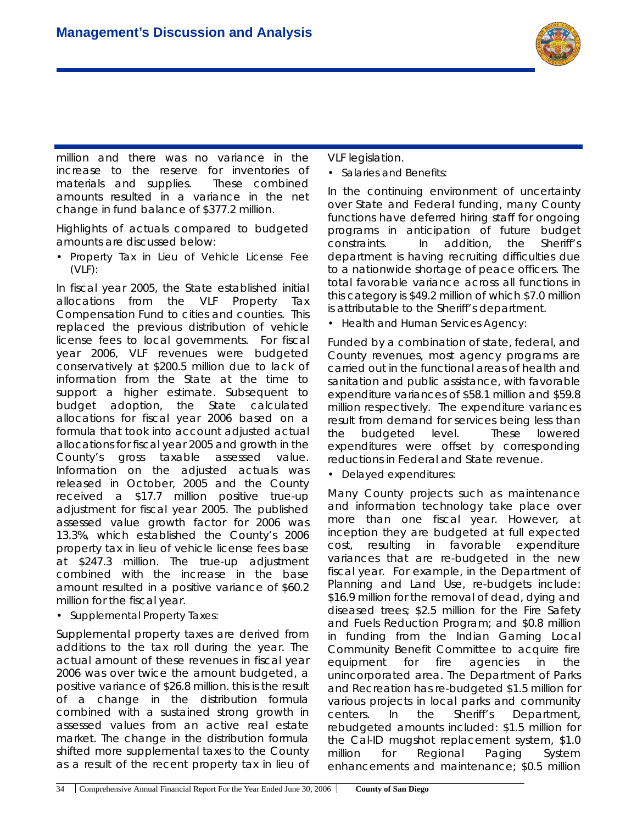

million and there was no variance in the increase to the reserve for inventories of materials and supplies. These combined amounts resulted in a variance in the net change in fund balance of \$377.2 million.

Highlights of actuals compared to budgeted amounts are discussed below:

*• Property Tax in Lieu of Vehicle License Fee (VLF):*

In fiscal year 2005, the State established initial allocations from the VLF Property Tax Compensation Fund to cities and counties. This replaced the previous distribution of vehicle license fees to local governments. For fiscal year 2006, VLF revenues were budgeted conservatively at \$200.5 million due to lack of information from the State at the time to support a higher estimate. Subsequent to budget adoption, the State calculated allocations for fiscal year 2006 based on a formula that took into account adjusted actual allocations for fiscal year 2005 and growth in the County's gross taxable assessed value. Information on the adjusted actuals was released in October, 2005 and the County received a \$17.7 million positive true-up adjustment for fiscal year 2005. The published assessed value growth factor for 2006 was 13.3%, which established the County's 2006 property tax in lieu of vehicle license fees base at \$247.3 million. The true-up adjustment combined with the increase in the base amount resulted in a positive variance of \$60.2 million for the fiscal year.

*• Supplemental Property Taxes:*

Supplemental property taxes are derived from additions to the tax roll during the year. The actual amount of these revenues in fiscal year 2006 was over twice the amount budgeted, a positive variance of \$26.8 million. this is the result of a change in the distribution formula combined with a sustained strong growth in assessed values from an active real estate market. The change in the distribution formula shifted more supplemental taxes to the County as a result of the recent property tax in lieu of

VLF legislation.

*• Salaries and Benefits:*

In the continuing environment of uncertainty over State and Federal funding, many County functions have deferred hiring staff for ongoing programs in anticipation of future budget constraints. In addition, the Sheriff's department is having recruiting difficulties due to a nationwide shortage of peace officers. The total favorable variance across all functions in this category is \$49.2 million of which \$7.0 million is attributable to the Sheriff's department.

*• Health and Human Services Agency:*

Funded by a combination of state, federal, and County revenues, most agency programs are carried out in the functional areas of health and sanitation and public assistance, with favorable expenditure variances of \$58.1 million and \$59.8 million respectively. The expenditure variances result from demand for services being less than the budgeted level. These lowered expenditures were offset by corresponding reductions in Federal and State revenue.

*• Delayed expenditures:*

Many County projects such as maintenance and information technology take place over more than one fiscal year. However, at inception they are budgeted at full expected cost, resulting in favorable expenditure variances that are re-budgeted in the new fiscal year. For example, in the Department of Planning and Land Use, re-budgets include: \$16.9 million for the removal of dead, dying and diseased trees; \$2.5 million for the Fire Safety and Fuels Reduction Program; and \$0.8 million in funding from the Indian Gaming Local Community Benefit Committee to acquire fire equipment for fire agencies in the unincorporated area. The Department of Parks and Recreation has re-budgeted \$1.5 million for various projects in local parks and community centers. In the Sheriff's Department, rebudgeted amounts included: \$1.5 million for the Cal-ID mugshot replacement system, \$1.0 million for Regional Paging System enhancements and maintenance; \$0.5 million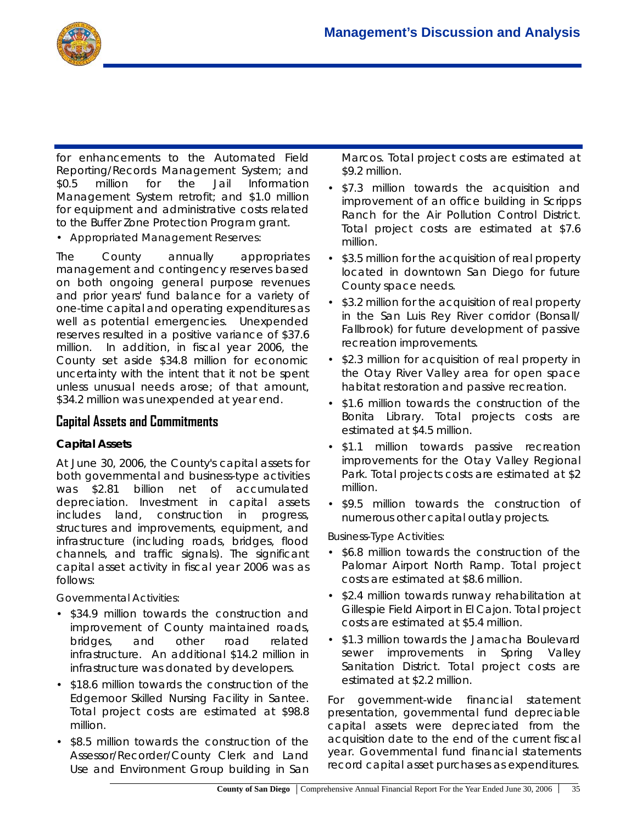

for enhancements to the Automated Field Reporting/Records Management System; and \$0.5 million for the Jail Information Management System retrofit; and \$1.0 million for equipment and administrative costs related to the Buffer Zone Protection Program grant.

#### *• Appropriated Management Reserves:*

The County annually appropriates management and contingency reserves based on both ongoing general purpose revenues and prior years' fund balance for a variety of one-time capital and operating expenditures as well as potential emergencies. Unexpended reserves resulted in a positive variance of \$37.6 million. In addition, in fiscal year 2006, the County set aside \$34.8 million for economic uncertainty with the intent that it not be spent unless unusual needs arose; of that amount, \$34.2 million was unexpended at year end.

## **Capital Assets and Commitments**

#### **Capital Assets**

At June 30, 2006, the County's capital assets for both governmental and business-type activities was \$2.81 billion net of accumulated depreciation. Investment in capital assets includes land, construction in progress, structures and improvements, equipment, and infrastructure (including roads, bridges, flood channels, and traffic signals). The significant capital asset activity in fiscal year 2006 was as follows:

#### *Governmental Activities:*

- \$34.9 million towards the construction and improvement of County maintained roads, bridges, and other road related infrastructure. An additional \$14.2 million in infrastructure was donated by developers.
- \$18.6 million towards the construction of the Edgemoor Skilled Nursing Facility in Santee. Total project costs are estimated at \$98.8 million.
- \$8.5 million towards the construction of the Assessor/Recorder/County Clerk and Land Use and Environment Group building in San

Marcos. Total project costs are estimated at \$9.2 million.

- \$7.3 million towards the acquisition and improvement of an office building in Scripps Ranch for the Air Pollution Control District. Total project costs are estimated at \$7.6 million.
- \$3.5 million for the acquisition of real property located in downtown San Diego for future County space needs.
- \$3.2 million for the acquisition of real property in the San Luis Rey River corridor (Bonsall/ Fallbrook) for future development of passive recreation improvements.
- \$2.3 million for acquisition of real property in the Otay River Valley area for open space habitat restoration and passive recreation.
- \$1.6 million towards the construction of the Bonita Library. Total projects costs are estimated at \$4.5 million.
- \$1.1 million towards passive recreation improvements for the Otay Valley Regional Park. Total projects costs are estimated at \$2 million.
- \$9.5 million towards the construction of numerous other capital outlay projects.

#### *Business-Type Activities:*

- \$6.8 million towards the construction of the Palomar Airport North Ramp. Total project costs are estimated at \$8.6 million.
- \$2.4 million towards runway rehabilitation at Gillespie Field Airport in El Cajon. Total project costs are estimated at \$5.4 million.
- \$1.3 million towards the Jamacha Boulevard sewer improvements in Spring Valley Sanitation District. Total project costs are estimated at \$2.2 million.

For government-wide financial statement presentation, governmental fund depreciable capital assets were depreciated from the acquisition date to the end of the current fiscal year. Governmental fund financial statements record capital asset purchases as expenditures.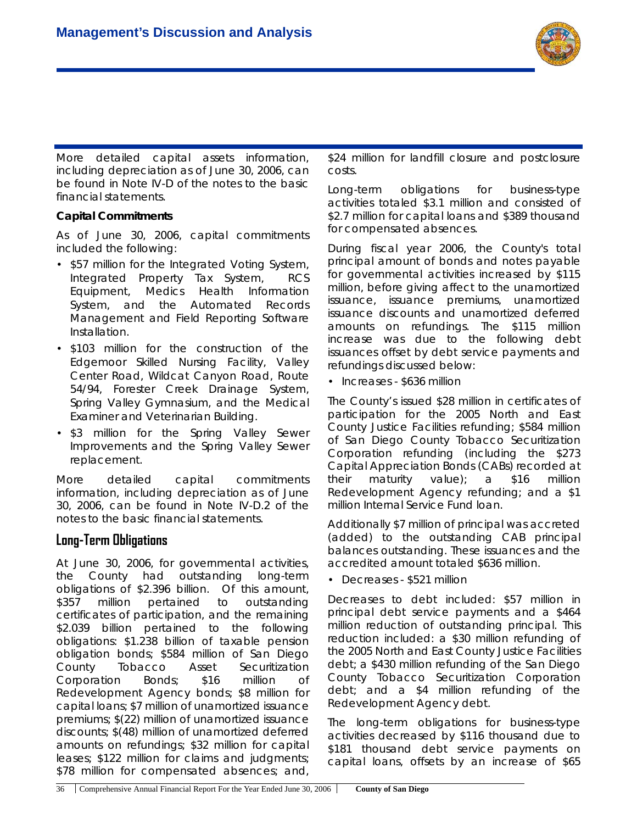

More detailed capital assets information, including depreciation as of June 30, 2006, can be found in Note IV-D of the notes to the basic financial statements.

#### **Capital Commitments**

As of June 30, 2006, capital commitments included the following:

- \$57 million for the Integrated Voting System, Integrated Property Tax System, RCS Equipment, Medics Health Information System, and the Automated Records Management and Field Reporting Software Installation.
- \$103 million for the construction of the Edgemoor Skilled Nursing Facility, Valley Center Road, Wildcat Canyon Road, Route 54/94, Forester Creek Drainage System, Spring Valley Gymnasium, and the Medical Examiner and Veterinarian Building.
- \$3 million for the Spring Valley Sewer Improvements and the Spring Valley Sewer replacement.

More detailed capital commitments information, including depreciation as of June 30, 2006, can be found in Note IV-D.2 of the notes to the basic financial statements.

## **Long-Term Obligations**

At June 30, 2006, for governmental activities, the County had outstanding long-term obligations of \$2.396 billion. Of this amount, \$357 million pertained to outstanding certificates of participation, and the remaining \$2.039 billion pertained to the following obligations: \$1.238 billion of taxable pension obligation bonds; \$584 million of San Diego County Tobacco Asset Securitization Corporation Bonds; \$16 million of Redevelopment Agency bonds; \$8 million for capital loans; \$7 million of unamortized issuance premiums; \$(22) million of unamortized issuance discounts; \$(48) million of unamortized deferred amounts on refundings; \$32 million for capital leases; \$122 million for claims and judgments; \$78 million for compensated absences; and,

\$24 million for landfill closure and postclosure costs.

Long-term obligations for business-type activities totaled \$3.1 million and consisted of \$2.7 million for capital loans and \$389 thousand for compensated absences.

During fiscal year 2006, the County's total principal amount of bonds and notes payable for governmental activities increased by \$115 million, before giving affect to the unamortized issuance, issuance premiums, unamortized issuance discounts and unamortized deferred amounts on refundings. The \$115 million increase was due to the following debt issuances offset by debt service payments and refundings discussed below:

• Increases - \$636 million

The County's issued \$28 million in certificates of participation for the 2005 North and East County Justice Facilities refunding; \$584 million of San Diego County Tobacco Securitization Corporation refunding (including the \$273 Capital Appreciation Bonds (CABs) recorded at their maturity value); a \$16 million Redevelopment Agency refunding; and a \$1 million Internal Service Fund loan.

Additionally \$7 million of principal was accreted (added) to the outstanding CAB principal balances outstanding. These issuances and the accredited amount totaled \$636 million.

• Decreases - \$521 million

Decreases to debt included: \$57 million in principal debt service payments and a \$464 million reduction of outstanding principal. This reduction included: a \$30 million refunding of the 2005 North and East County Justice Facilities debt; a \$430 million refunding of the San Diego County Tobacco Securitization Corporation debt; and a \$4 million refunding of the Redevelopment Agency debt.

The long-term obligations for business-type activities decreased by \$116 thousand due to \$181 thousand debt service payments on capital loans, offsets by an increase of \$65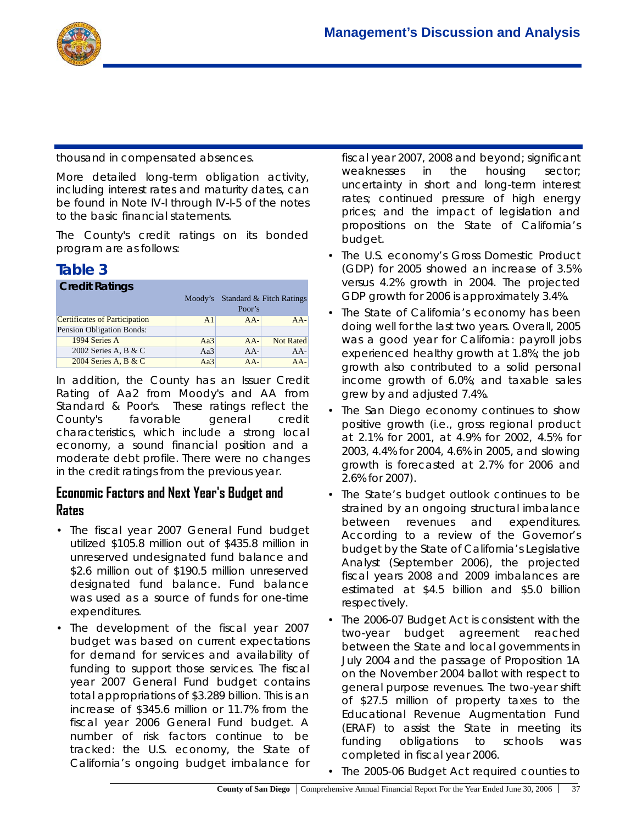

thousand in compensated absences.

More detailed long-term obligation activity, including interest rates and maturity dates, can be found in Note IV-I through IV-I-5 of the notes to the basic financial statements.

The County's credit ratings on its bonded program are as follows:

# **Table 3**

| <b>Credit Ratings</b>         |         |                                    |                  |  |  |  |  |
|-------------------------------|---------|------------------------------------|------------------|--|--|--|--|
|                               | Moody's | Standard & Fitch Ratings<br>Poor's |                  |  |  |  |  |
| Certificates of Participation | A1      | $AA-$                              | $AA-$            |  |  |  |  |
| Pension Obligation Bonds:     |         |                                    |                  |  |  |  |  |
| 1994 Series A                 | Aa3     | $AA-$                              | <b>Not Rated</b> |  |  |  |  |
| 2002 Series A, B & C          | Aa3     | $AA-$                              | $AA-$            |  |  |  |  |
| 2004 Series A, B & C          | Aa3     | $AA-$                              | $AA-$            |  |  |  |  |

In addition, the County has an Issuer Credit Rating of Aa2 from Moody's and AA from Standard & Poor's. These ratings reflect the County's favorable general credit characteristics, which include a strong local economy, a sound financial position and a moderate debt profile. There were no changes in the credit ratings from the previous year.

## **Economic Factors and Next Year's Budget and Rates**

- The fiscal year 2007 General Fund budget utilized \$105.8 million out of \$435.8 million in unreserved undesignated fund balance and \$2.6 million out of \$190.5 million unreserved designated fund balance. Fund balance was used as a source of funds for one-time expenditures.
- The development of the fiscal year 2007 budget was based on current expectations for demand for services and availability of funding to support those services. The fiscal year 2007 General Fund budget contains total appropriations of \$3.289 billion. This is an increase of \$345.6 million or 11.7% from the fiscal year 2006 General Fund budget. A number of risk factors continue to be tracked: the U.S. economy, the State of California's ongoing budget imbalance for

fiscal year 2007, 2008 and beyond; significant weaknesses in the housing sector; uncertainty in short and long-term interest rates; continued pressure of high energy prices; and the impact of legislation and propositions on the State of California's budget.

- The U.S. economy's Gross Domestic Product (GDP) for 2005 showed an increase of 3.5% versus 4.2% growth in 2004. The projected GDP growth for 2006 is approximately 3.4%.
- The State of California's economy has been doing well for the last two years. Overall, 2005 was a good year for California: payroll jobs experienced healthy growth at 1.8%; the job growth also contributed to a solid personal income growth of 6.0%; and taxable sales grew by and adjusted 7.4%.
- The San Diego economy continues to show positive growth (i.e., gross regional product at 2.1% for 2001, at 4.9% for 2002, 4.5% for 2003, 4.4% for 2004, 4.6% in 2005, and slowing growth is forecasted at 2.7% for 2006 and 2.6% for 2007).
- The State's budget outlook continues to be strained by an ongoing structural imbalance between revenues and expenditures. According to a review of the Governor's budget by the State of California's Legislative Analyst (September 2006), the projected fiscal years 2008 and 2009 imbalances are estimated at \$4.5 billion and \$5.0 billion respectively.
- The 2006-07 Budget Act is consistent with the two-year budget agreement reached between the State and local governments in July 2004 and the passage of Proposition 1A on the November 2004 ballot with respect to general purpose revenues. The two-year shift of \$27.5 million of property taxes to the Educational Revenue Augmentation Fund (ERAF) to assist the State in meeting its funding obligations to schools was completed in fiscal year 2006.
- The 2005-06 Budget Act required counties to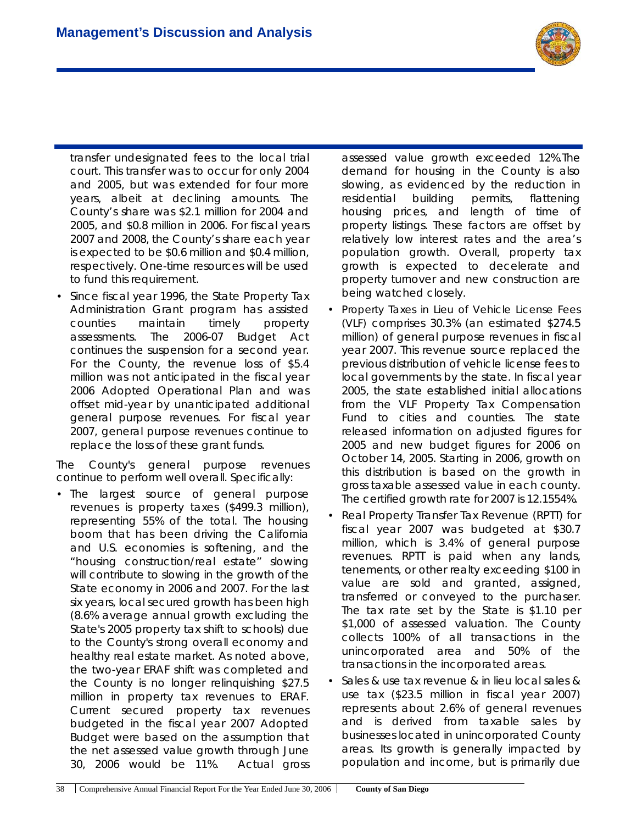

transfer undesignated fees to the local trial court. This transfer was to occur for only 2004 and 2005, but was extended for four more years, albeit at declining amounts. The County's share was \$2.1 million for 2004 and 2005, and \$0.8 million in 2006. For fiscal years 2007 and 2008, the County's share each year is expected to be \$0.6 million and \$0.4 million, respectively. One-time resources will be used to fund this requirement.

• Since fiscal year 1996, the State Property Tax Administration Grant program has assisted counties maintain timely property assessments. The 2006-07 Budget Act continues the suspension for a second year. For the County, the revenue loss of \$5.4 million was not anticipated in the fiscal year 2006 Adopted Operational Plan and was offset mid-year by unanticipated additional general purpose revenues. For fiscal year 2007, general purpose revenues continue to replace the loss of these grant funds.

The County's general purpose revenues continue to perform well overall. Specifically:

• The largest source of general purpose revenues is property taxes (\$499.3 million), representing 55% of the total. The housing boom that has been driving the California and U.S. economies is softening, and the "housing construction/real estate" slowing will contribute to slowing in the growth of the State economy in 2006 and 2007. For the last six years, local secured growth has been high (8.6% average annual growth excluding the State's 2005 property tax shift to schools) due to the County's strong overall economy and healthy real estate market. As noted above, the two-year ERAF shift was completed and the County is no longer relinquishing \$27.5 million in property tax revenues to ERAF. Current secured property tax revenues budgeted in the fiscal year 2007 Adopted Budget were based on the assumption that the net assessed value growth through June 30, 2006 would be 11%. Actual gross assessed value growth exceeded 12%.The demand for housing in the County is also slowing, as evidenced by the reduction in residential building permits, flattening housing prices, and length of time of property listings. These factors are offset by relatively low interest rates and the area's population growth. Overall, property tax growth is expected to decelerate and property turnover and new construction are being watched closely.

- Property Taxes in Lieu of Vehicle License Fees (VLF) comprises 30.3% (an estimated \$274.5 million) of general purpose revenues in fiscal year 2007. This revenue source replaced the previous distribution of vehicle license fees to local governments by the state. In fiscal year 2005, the state established initial allocations from the VLF Property Tax Compensation Fund to cities and counties. The state released information on adjusted figures for 2005 and new budget figures for 2006 on October 14, 2005. Starting in 2006, growth on this distribution is based on the growth in gross taxable assessed value in each county. The certified growth rate for 2007 is 12.1554%.
- Real Property Transfer Tax Revenue (RPTT) for fiscal year 2007 was budgeted at \$30.7 million, which is 3.4% of general purpose revenues. RPTT is paid when any lands, tenements, or other realty exceeding \$100 in value are sold and granted, assigned, transferred or conveyed to the purchaser. The tax rate set by the State is \$1.10 per \$1,000 of assessed valuation. The County collects 100% of all transactions in the unincorporated area and 50% of the transactions in the incorporated areas.
- Sales & use tax revenue & in lieu local sales & use tax (\$23.5 million in fiscal year 2007) represents about 2.6% of general revenues and is derived from taxable sales by businesses located in unincorporated County areas. Its growth is generally impacted by population and income, but is primarily due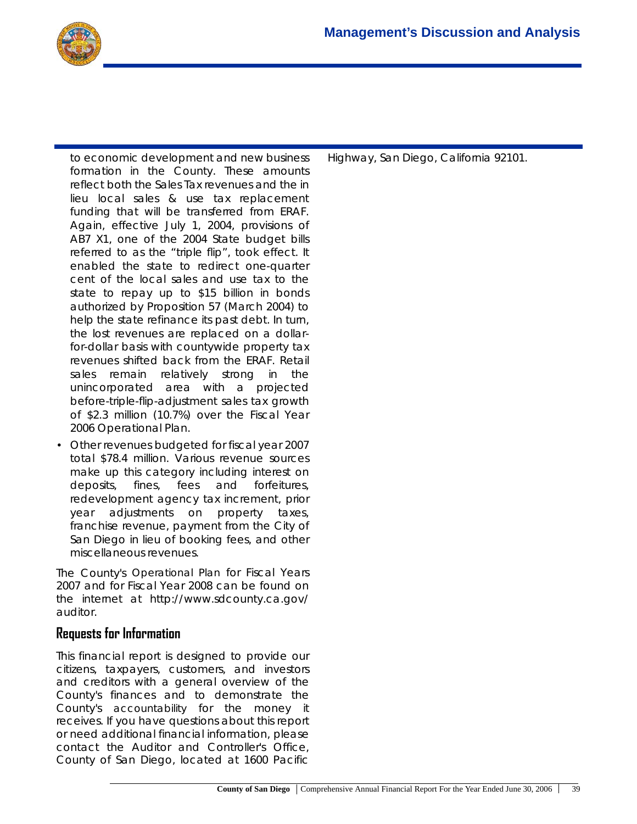to economic development and new business formation in the County. These amounts reflect both the Sales Tax revenues and the in lieu local sales & use tax replacement funding that will be transferred from ERAF. Again, effective July 1, 2004, provisions of AB7 X1, one of the 2004 State budget bills referred to as the "triple flip", took effect. It enabled the state to redirect one-quarter cent of the local sales and use tax to the state to repay up to \$15 billion in bonds authorized by Proposition 57 (March 2004) to help the state refinance its past debt. In turn, the lost revenues are replaced on a dollarfor-dollar basis with countywide property tax revenues shifted back from the ERAF. Retail sales remain relatively strong in the unincorporated area with a projected before-triple-flip-adjustment sales tax growth of \$2.3 million (10.7%) over the Fiscal Year 2006 Operational Plan.

• Other revenues budgeted for fiscal year 2007 total \$78.4 million. Various revenue sources make up this category including interest on deposits, fines, fees and forfeitures, redevelopment agency tax increment, prior year adjustments on property taxes, franchise revenue, payment from the City of San Diego in lieu of booking fees, and other miscellaneous revenues.

The County's *Operational Plan* for Fiscal Years 2007 and for Fiscal Year 2008 can be found on the internet at http://www.sdcounty.ca.gov/ auditor.

## **Requests for Information**

This financial report is designed to provide our citizens, taxpayers, customers, and investors and creditors with a general overview of the County's finances and to demonstrate the County's *accountability* for the money it receives. If you have questions about this report or need additional financial information, please contact the Auditor and Controller's Office, County of San Diego, located at 1600 Pacific

Highway, San Diego, California 92101.